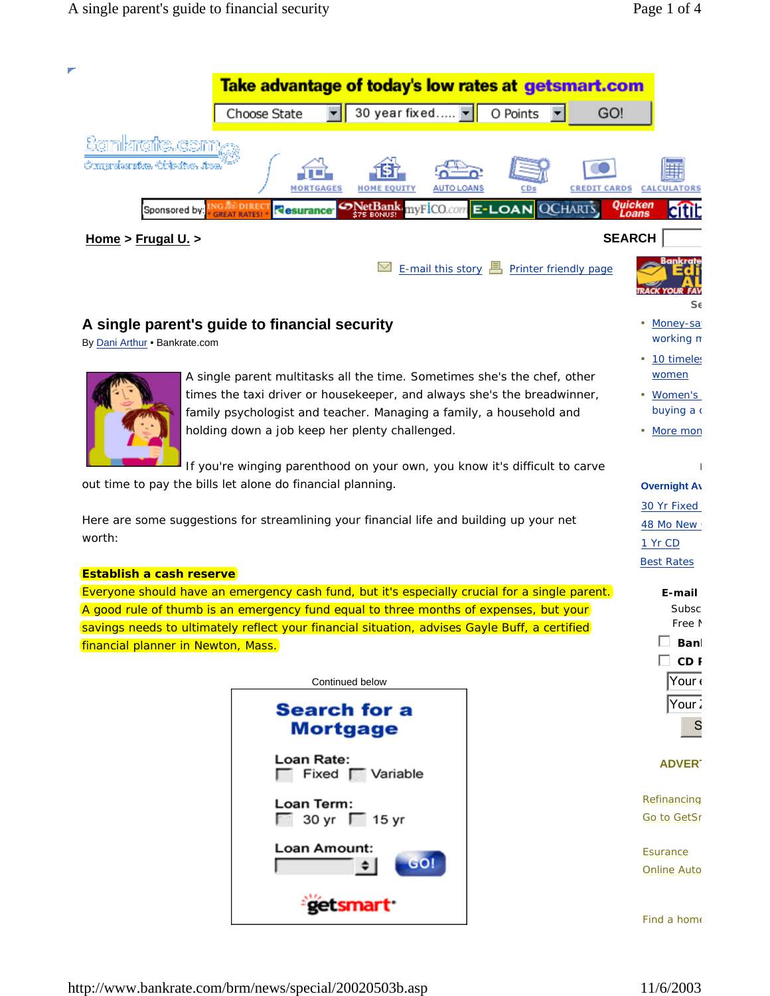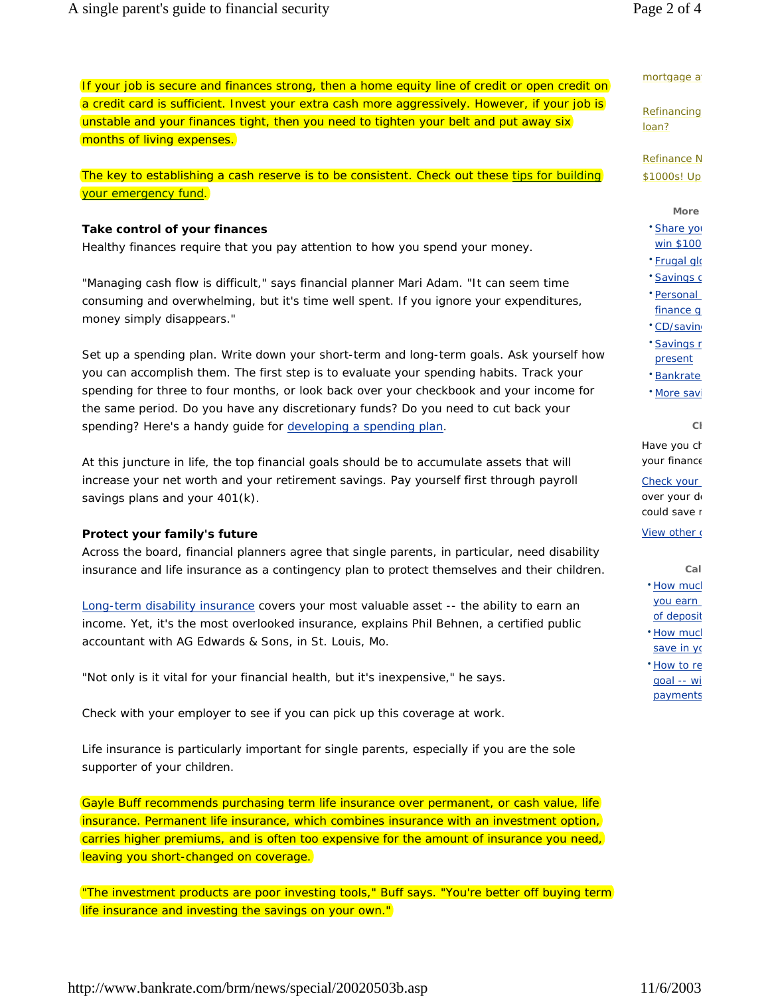|                                                                                                | mortgage           |
|------------------------------------------------------------------------------------------------|--------------------|
| If your job is secure and finances strong, then a home equity line of credit or open credit on |                    |
| a credit card is sufficient. Invest your extra cash more aggressively. However, if your job is | Refinanci<br>loan? |
| unstable and your finances tight, then you need to tighten your belt and put away six          |                    |
| months of living expenses.                                                                     |                    |

The key to establishing a cash reserve is to be consistent. Check out these tips for building your emergency fund.

# **Take control of your finances**

Healthy finances require that you pay attention to how you spend your money.

"Managing cash flow is difficult," says financial planner Mari Adam. "It can seem time consuming and overwhelming, but it's time well spent. If you ignore your expenditures, money simply disappears."

Set up a spending plan. Write down your short-term and long-term goals. Ask yourself how you can accomplish them. The first step is to evaluate your spending habits. Track your spending for three to four months, or look back over your checkbook and your income for the same period. Do you have any discretionary funds? Do you need to cut back your spending? Here's a handy guide for developing a spending plan.

At this juncture in life, the top financial goals should be to accumulate assets that will increase your net worth and your retirement savings. Pay yourself first through payroll savings plans and your 401(k).

# **Protect your family's future**

Across the board, financial planners agree that single parents, in particular, need disability insurance and life insurance as a contingency plan to protect themselves and their children.

Long-term disability insurance covers your most valuable asset -- the ability to earn an income. Yet, it's the most overlooked insurance, explains Phil Behnen, a certified public accountant with AG Edwards & Sons, in St. Louis, Mo.

"Not only is it vital for your financial health, but it's inexpensive," he says.

Check with your employer to see if you can pick up this coverage at work.

Life insurance is particularly important for single parents, especially if you are the sole supporter of your children.

Gayle Buff recommends purchasing term life insurance over permanent, or cash value, life insurance. Permanent life insurance, which combines insurance with an investment option, carries higher premiums, and is often too expensive for the amount of insurance you need, leaving you short-changed on coverage.

"The investment products are poor investing tools," Buff says. "You're better off buying term life insurance and investing the savings on your own."

#### a

Refinancing

Refinance N \$1000s! Up

**More**

• Share you win \$100

• Frugal glo

• Savings g

• Personal finance g

- CD/saving
- Savings r present
- Bankrate
- More savi

**Ch**

Have you ch your finance

Check your

over your de could save r

### View other a

**Cal**

- How much you earn of deposit
- How much save in yo
- How to re goal -- wi payments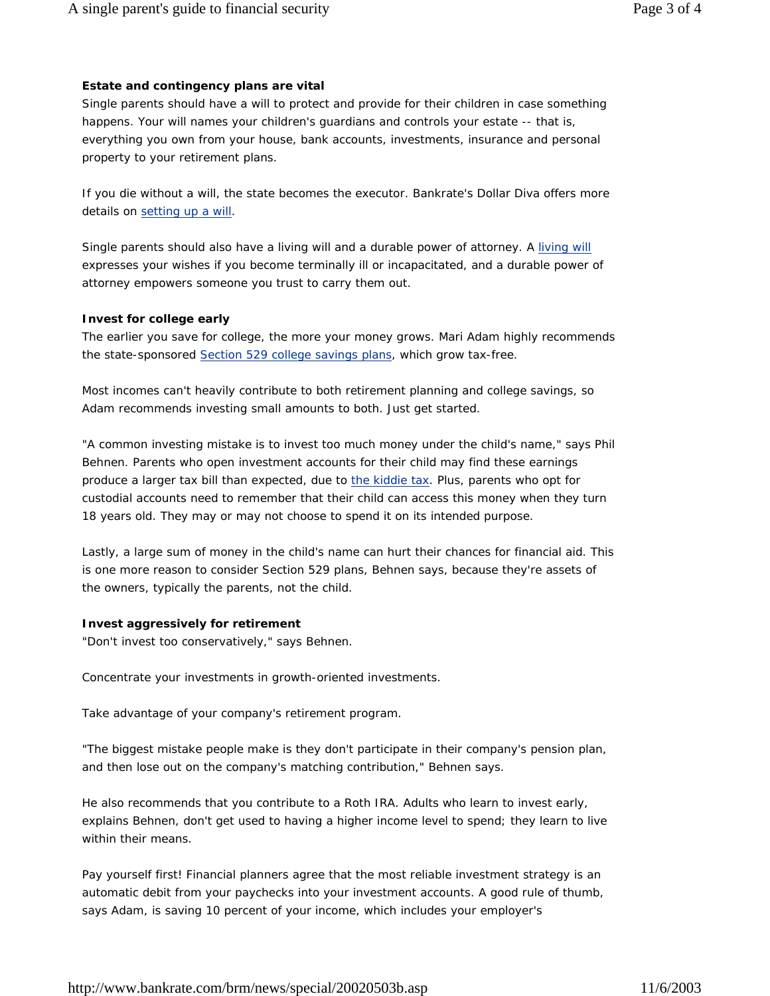# **Estate and contingency plans are vital**

Single parents should have a will to protect and provide for their children in case something happens. Your will names your children's guardians and controls your estate -- that is, everything you own from your house, bank accounts, investments, insurance and personal property to your retirement plans.

If you die without a will, the state becomes the executor. Bankrate's Dollar Diva offers more details on setting up a will.

Single parents should also have a living will and a durable power of attorney. A living will expresses your wishes if you become terminally ill or incapacitated, and a durable power of attorney empowers someone you trust to carry them out.

# **Invest for college early**

The earlier you save for college, the more your money grows. Mari Adam highly recommends the state-sponsored Section 529 college savings plans, which grow tax-free.

Most incomes can't heavily contribute to both retirement planning and college savings, so Adam recommends investing small amounts to both. Just get started.

"A common investing mistake is to invest too much money under the child's name," says Phil Behnen. Parents who open investment accounts for their child may find these earnings produce a larger tax bill than expected, due to the kiddie tax. Plus, parents who opt for custodial accounts need to remember that their child can access this money when they turn 18 years old. They may or may not choose to spend it on its intended purpose.

Lastly, a large sum of money in the child's name can hurt their chances for financial aid. This is one more reason to consider Section 529 plans, Behnen says, because they're assets of the owners, typically the parents, not the child.

# **Invest aggressively for retirement**

"Don't invest too conservatively," says Behnen.

Concentrate your investments in growth-oriented investments.

Take advantage of your company's retirement program.

"The biggest mistake people make is they don't participate in their company's pension plan, and then lose out on the company's matching contribution," Behnen says.

He also recommends that you contribute to a Roth IRA. Adults who learn to invest early, explains Behnen, don't get used to having a higher income level to spend; they learn to live within their means.

Pay yourself first! Financial planners agree that the most reliable investment strategy is an automatic debit from your paychecks into your investment accounts. A good rule of thumb, says Adam, is saving 10 percent of your income, which includes your employer's